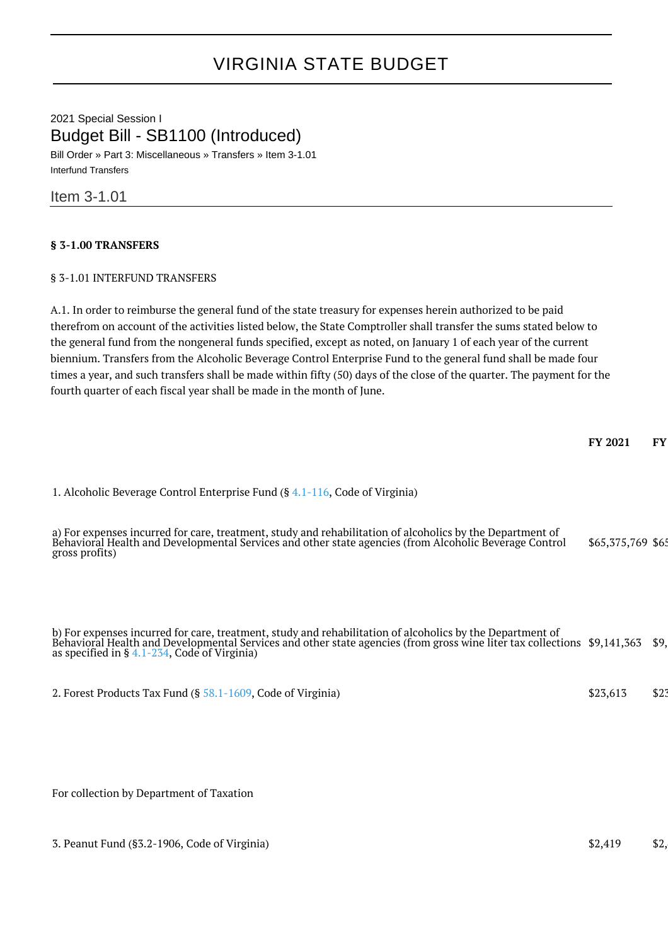## VIRGINIA STATE BUDGET

2021 Special Session I Budget Bill - SB1100 (Introduced) Bill Order » Part 3: Miscellaneous » Transfers » Item 3-1.01 Interfund Transfers

Item 3-1.01

## **§ 3-1.00 TRANSFERS**

## § 3-1.01 INTERFUND TRANSFERS

A.1. In order to reimburse the general fund of the state treasury for expenses herein authorized to be paid therefrom on account of the activities listed below, the State Comptroller shall transfer the sums stated below to the general fund from the nongeneral funds specified, except as noted, on January 1 of each year of the current biennium. Transfers from the Alcoholic Beverage Control Enterprise Fund to the general fund shall be made four times a year, and such transfers shall be made within fifty (50) days of the close of the quarter. The payment for the fourth quarter of each fiscal year shall be made in the month of June.

1. Alcoholic Beverage Control Enterprise Fund (§ [4.1-116](http://law.lis.virginia.gov/vacode/4.1-116/), Code of Virginia)

| a) For expenses incurred for care, treatment, study and rehabilitation of alcoholics by the Department of<br>Behavioral Health and Developmental Services and other state agencies (from Alcoholic Beverage Control<br>\$65,375,769 \$65<br>gross profits) |
|------------------------------------------------------------------------------------------------------------------------------------------------------------------------------------------------------------------------------------------------------------|
|------------------------------------------------------------------------------------------------------------------------------------------------------------------------------------------------------------------------------------------------------------|

b) For expenses incurred for care, treatment, study and rehabilitation of alcoholics by the Department of Behavioral Health and Developmental Services and other state agencies (from gross wine liter tax collections as specified in § [4.1-234,](http://law.lis.virginia.gov/vacode/4.1-234/) Code of Virginia) \$9,141,363 \$9,

2. Forest Products Tax Fund (§ [58.1-1609](http://law.lis.virginia.gov/vacode/58.1-1609/), Code of Virginia) \$23,613 \$23,613 \$23,613

For collection by Department of Taxation

3. Peanut Fund (§3.2-1906, Code of Virginia) \$2,419 \$2,419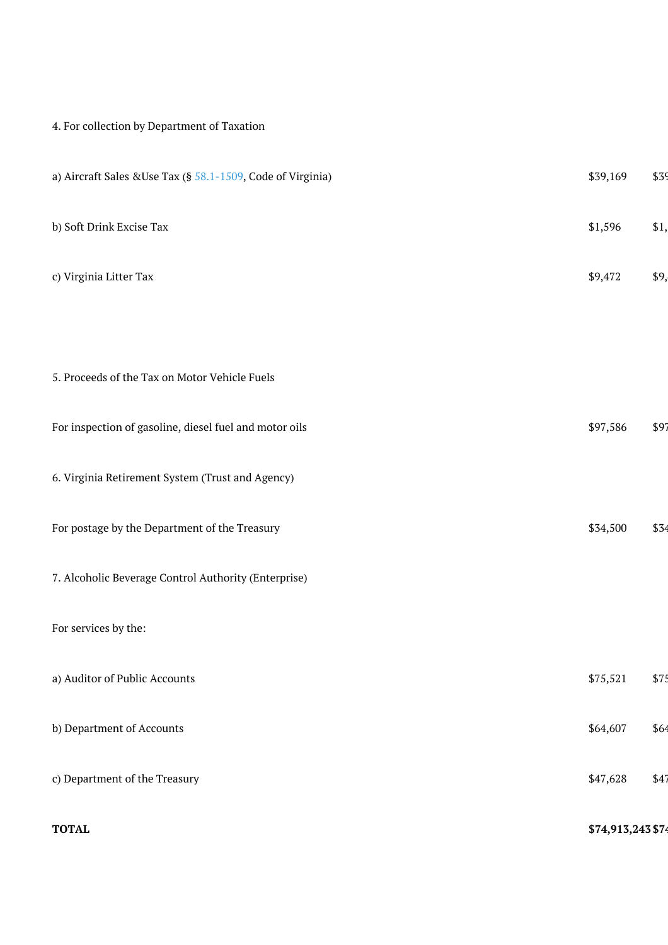## 4. For collection by Department of Taxation

| a) Aircraft Sales & Use Tax (§ $58.1 - 1509$ , Code of Virginia) | \$39,169          | \$39 |
|------------------------------------------------------------------|-------------------|------|
| b) Soft Drink Excise Tax                                         | \$1,596           | \$1, |
| c) Virginia Litter Tax                                           | \$9,472           | \$9, |
|                                                                  |                   |      |
| 5. Proceeds of the Tax on Motor Vehicle Fuels                    |                   |      |
| For inspection of gasoline, diesel fuel and motor oils           | \$97,586          | \$97 |
| 6. Virginia Retirement System (Trust and Agency)                 |                   |      |
| For postage by the Department of the Treasury                    | \$34,500          | \$34 |
| 7. Alcoholic Beverage Control Authority (Enterprise)             |                   |      |
| For services by the:                                             |                   |      |
| a) Auditor of Public Accounts                                    | \$75,521          | \$75 |
| b) Department of Accounts                                        | \$64,607          | \$64 |
| c) Department of the Treasury                                    | \$47,628          | \$47 |
| <b>TOTAL</b>                                                     | \$74,913,243 \$74 |      |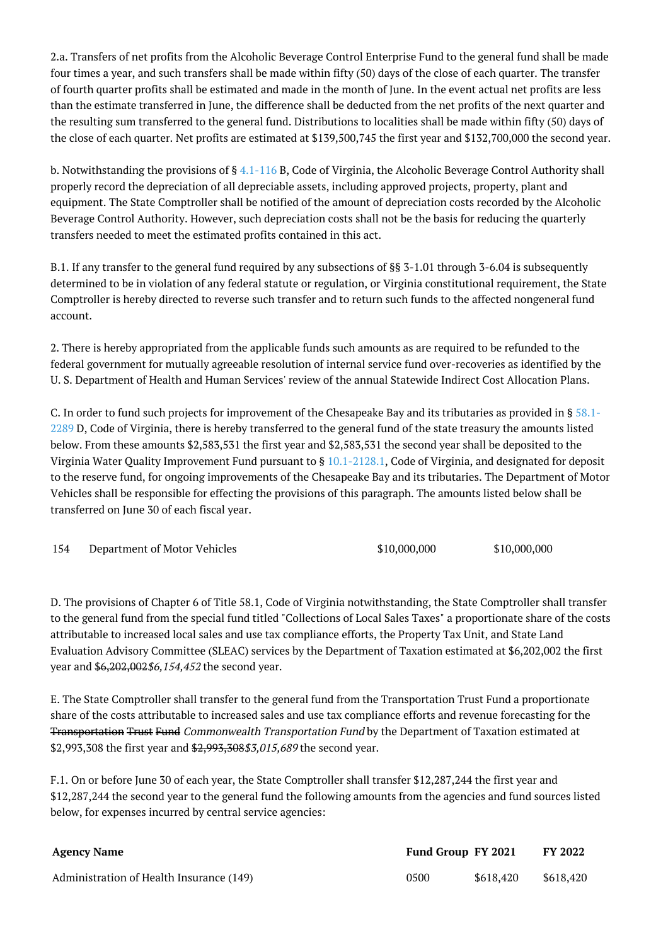2.a. Transfers of net profits from the Alcoholic Beverage Control Enterprise Fund to the general fund shall be made four times a year, and such transfers shall be made within fifty (50) days of the close of each quarter. The transfer of fourth quarter profits shall be estimated and made in the month of June. In the event actual net profits are less than the estimate transferred in June, the difference shall be deducted from the net profits of the next quarter and the resulting sum transferred to the general fund. Distributions to localities shall be made within fifty (50) days of the close of each quarter. Net profits are estimated at \$139,500,745 the first year and \$132,700,000 the second year.

b. Notwithstanding the provisions of § [4.1-116](http://law.lis.virginia.gov/vacode/4.1-116/) B, Code of Virginia, the Alcoholic Beverage Control Authority shall properly record the depreciation of all depreciable assets, including approved projects, property, plant and equipment. The State Comptroller shall be notified of the amount of depreciation costs recorded by the Alcoholic Beverage Control Authority. However, such depreciation costs shall not be the basis for reducing the quarterly transfers needed to meet the estimated profits contained in this act.

B.1. If any transfer to the general fund required by any subsections of §§ 3-1.01 through 3-6.04 is subsequently determined to be in violation of any federal statute or regulation, or Virginia constitutional requirement, the State Comptroller is hereby directed to reverse such transfer and to return such funds to the affected nongeneral fund account.

2. There is hereby appropriated from the applicable funds such amounts as are required to be refunded to the federal government for mutually agreeable resolution of internal service fund over-recoveries as identified by the U. S. Department of Health and Human Services' review of the annual Statewide Indirect Cost Allocation Plans.

C. In order to fund such projects for improvement of the Chesapeake Bay and its tributaries as provided in § [58.1-](http://law.lis.virginia.gov/vacode/58.1-2289/) [2289](http://law.lis.virginia.gov/vacode/58.1-2289/) D, Code of Virginia, there is hereby transferred to the general fund of the state treasury the amounts listed below. From these amounts \$2,583,531 the first year and \$2,583,531 the second year shall be deposited to the Virginia Water Quality Improvement Fund pursuant to § [10.1-2128.1,](http://law.lis.virginia.gov/vacode/10.1-2128.1/) Code of Virginia, and designated for deposit to the reserve fund, for ongoing improvements of the Chesapeake Bay and its tributaries. The Department of Motor Vehicles shall be responsible for effecting the provisions of this paragraph. The amounts listed below shall be transferred on June 30 of each fiscal year.

| 154 | Department of Motor Vehicles | \$10,000,000 | \$10,000,000 |
|-----|------------------------------|--------------|--------------|
|-----|------------------------------|--------------|--------------|

D. The provisions of Chapter 6 of Title 58.1, Code of Virginia notwithstanding, the State Comptroller shall transfer to the general fund from the special fund titled "Collections of Local Sales Taxes" a proportionate share of the costs attributable to increased local sales and use tax compliance efforts, the Property Tax Unit, and State Land Evaluation Advisory Committee (SLEAC) services by the Department of Taxation estimated at \$6,202,002 the first year and \$6,202,002\$6,154,452 the second year.

E. The State Comptroller shall transfer to the general fund from the Transportation Trust Fund a proportionate share of the costs attributable to increased sales and use tax compliance efforts and revenue forecasting for the Transportation Trust Fund Commonwealth Transportation Fund by the Department of Taxation estimated at \$2,993,308 the first year and \$2,993,308 \$3,015,689 the second year.

F.1. On or before June 30 of each year, the State Comptroller shall transfer \$12,287,244 the first year and \$12,287,244 the second year to the general fund the following amounts from the agencies and fund sources listed below, for expenses incurred by central service agencies:

| <b>Agency Name</b>                       | Fund Group FY 2021 |           | FY 2022   |
|------------------------------------------|--------------------|-----------|-----------|
| Administration of Health Insurance (149) | 0500               | \$618,420 | \$618.420 |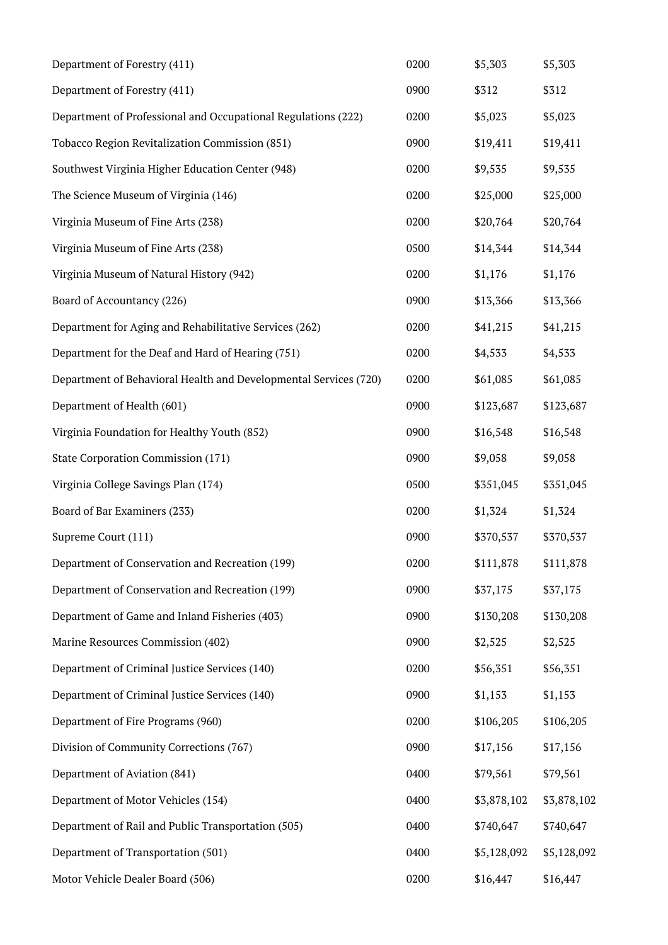| Department of Forestry (411)                                     | 0200 | \$5,303     | \$5,303     |
|------------------------------------------------------------------|------|-------------|-------------|
| Department of Forestry (411)                                     | 0900 | \$312       | \$312       |
| Department of Professional and Occupational Regulations (222)    | 0200 | \$5,023     | \$5,023     |
| Tobacco Region Revitalization Commission (851)                   | 0900 | \$19,411    | \$19,411    |
| Southwest Virginia Higher Education Center (948)                 | 0200 | \$9,535     | \$9,535     |
| The Science Museum of Virginia (146)                             | 0200 | \$25,000    | \$25,000    |
| Virginia Museum of Fine Arts (238)                               | 0200 | \$20,764    | \$20,764    |
| Virginia Museum of Fine Arts (238)                               | 0500 | \$14,344    | \$14,344    |
| Virginia Museum of Natural History (942)                         | 0200 | \$1,176     | \$1,176     |
| Board of Accountancy (226)                                       | 0900 | \$13,366    | \$13,366    |
| Department for Aging and Rehabilitative Services (262)           | 0200 | \$41,215    | \$41,215    |
| Department for the Deaf and Hard of Hearing (751)                | 0200 | \$4,533     | \$4,533     |
| Department of Behavioral Health and Developmental Services (720) | 0200 | \$61,085    | \$61,085    |
| Department of Health (601)                                       | 0900 | \$123,687   | \$123,687   |
| Virginia Foundation for Healthy Youth (852)                      | 0900 | \$16,548    | \$16,548    |
| <b>State Corporation Commission (171)</b>                        | 0900 | \$9,058     | \$9,058     |
| Virginia College Savings Plan (174)                              | 0500 | \$351,045   | \$351,045   |
| Board of Bar Examiners (233)                                     | 0200 | \$1,324     | \$1,324     |
| Supreme Court (111)                                              | 0900 | \$370,537   | \$370,537   |
| Department of Conservation and Recreation (199)                  | 0200 | \$111,878   | \$111,878   |
| Department of Conservation and Recreation (199)                  | 0900 | \$37,175    | \$37,175    |
| Department of Game and Inland Fisheries (403)                    | 0900 | \$130,208   | \$130,208   |
| Marine Resources Commission (402)                                | 0900 | \$2,525     | \$2,525     |
| Department of Criminal Justice Services (140)                    | 0200 | \$56,351    | \$56,351    |
| Department of Criminal Justice Services (140)                    | 0900 | \$1,153     | \$1,153     |
| Department of Fire Programs (960)                                | 0200 | \$106,205   | \$106,205   |
| Division of Community Corrections (767)                          | 0900 | \$17,156    | \$17,156    |
| Department of Aviation (841)                                     | 0400 | \$79,561    | \$79,561    |
| Department of Motor Vehicles (154)                               | 0400 | \$3,878,102 | \$3,878,102 |
| Department of Rail and Public Transportation (505)               | 0400 | \$740,647   | \$740,647   |
| Department of Transportation (501)                               | 0400 | \$5,128,092 | \$5,128,092 |
| Motor Vehicle Dealer Board (506)                                 | 0200 | \$16,447    | \$16,447    |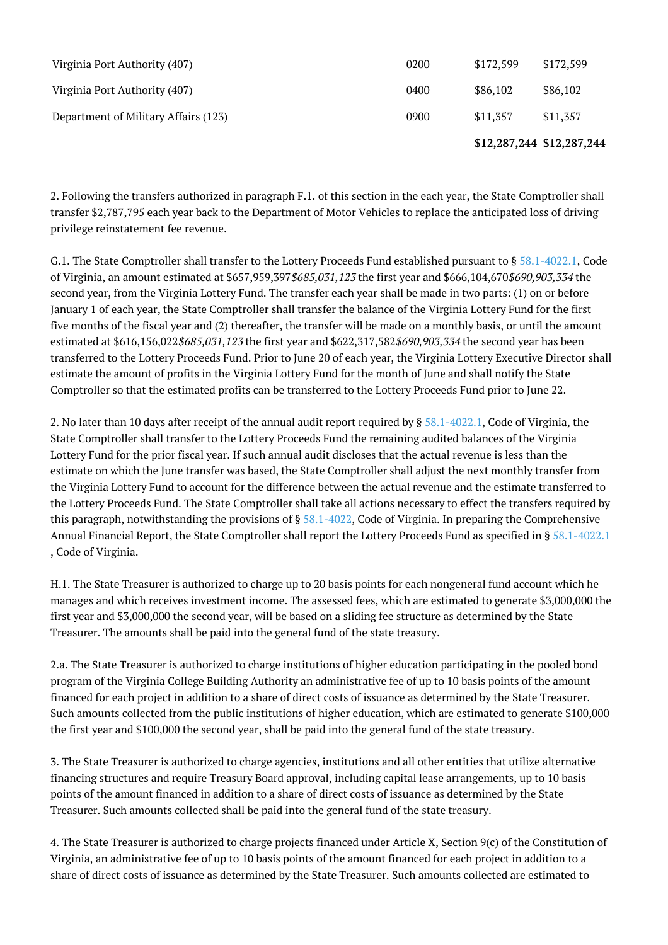|                                      |      | \$12,287,244 \$12,287,244 |           |
|--------------------------------------|------|---------------------------|-----------|
| Department of Military Affairs (123) | 0900 | \$11,357                  | \$11,357  |
| Virginia Port Authority (407)        | 0400 | \$86,102                  | \$86,102  |
| Virginia Port Authority (407)        | 0200 | \$172,599                 | \$172,599 |

2. Following the transfers authorized in paragraph F.1. of this section in the each year, the State Comptroller shall transfer \$2,787,795 each year back to the Department of Motor Vehicles to replace the anticipated loss of driving privilege reinstatement fee revenue.

G.1. The State Comptroller shall transfer to the Lottery Proceeds Fund established pursuant to § [58.1-4022.1,](http://law.lis.virginia.gov/vacode/58.1-4022.1/) Code of Virginia, an amount estimated at \$657,959,397 \$685,031,123 the first year and \$666,104,670 \$690,903,334 the second year, from the Virginia Lottery Fund. The transfer each year shall be made in two parts: (1) on or before January 1 of each year, the State Comptroller shall transfer the balance of the Virginia Lottery Fund for the first five months of the fiscal year and (2) thereafter, the transfer will be made on a monthly basis, or until the amount estimated at \$616,156,022\$685,031,123 the first year and \$622,317,582\$690,903,334 the second year has been transferred to the Lottery Proceeds Fund. Prior to June 20 of each year, the Virginia Lottery Executive Director shall estimate the amount of profits in the Virginia Lottery Fund for the month of June and shall notify the State Comptroller so that the estimated profits can be transferred to the Lottery Proceeds Fund prior to June 22.

2. No later than 10 days after receipt of the annual audit report required by § [58.1-4022.1,](http://law.lis.virginia.gov/vacode/58.1-4022.1/) Code of Virginia, the State Comptroller shall transfer to the Lottery Proceeds Fund the remaining audited balances of the Virginia Lottery Fund for the prior fiscal year. If such annual audit discloses that the actual revenue is less than the estimate on which the June transfer was based, the State Comptroller shall adjust the next monthly transfer from the Virginia Lottery Fund to account for the difference between the actual revenue and the estimate transferred to the Lottery Proceeds Fund. The State Comptroller shall take all actions necessary to effect the transfers required by this paragraph, notwithstanding the provisions of  $\S 58.1-4022$  $\S 58.1-4022$ , Code of Virginia. In preparing the Comprehensive Annual Financial Report, the State Comptroller shall report the Lottery Proceeds Fund as specified in § [58.1-4022.1](http://law.lis.virginia.gov/vacode/58.1-4022.1/) , Code of Virginia.

H.1. The State Treasurer is authorized to charge up to 20 basis points for each nongeneral fund account which he manages and which receives investment income. The assessed fees, which are estimated to generate \$3,000,000 the first year and \$3,000,000 the second year, will be based on a sliding fee structure as determined by the State Treasurer. The amounts shall be paid into the general fund of the state treasury.

2.a. The State Treasurer is authorized to charge institutions of higher education participating in the pooled bond program of the Virginia College Building Authority an administrative fee of up to 10 basis points of the amount financed for each project in addition to a share of direct costs of issuance as determined by the State Treasurer. Such amounts collected from the public institutions of higher education, which are estimated to generate \$100,000 the first year and \$100,000 the second year, shall be paid into the general fund of the state treasury.

3. The State Treasurer is authorized to charge agencies, institutions and all other entities that utilize alternative financing structures and require Treasury Board approval, including capital lease arrangements, up to 10 basis points of the amount financed in addition to a share of direct costs of issuance as determined by the State Treasurer. Such amounts collected shall be paid into the general fund of the state treasury.

4. The State Treasurer is authorized to charge projects financed under Article X, Section 9(c) of the Constitution of Virginia, an administrative fee of up to 10 basis points of the amount financed for each project in addition to a share of direct costs of issuance as determined by the State Treasurer. Such amounts collected are estimated to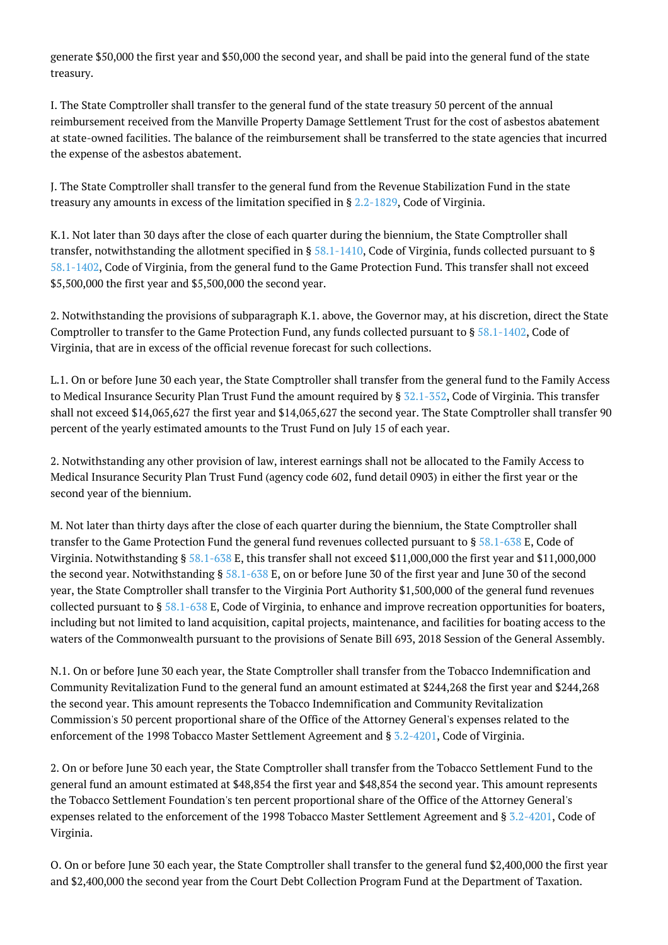generate \$50,000 the first year and \$50,000 the second year, and shall be paid into the general fund of the state treasury.

I. The State Comptroller shall transfer to the general fund of the state treasury 50 percent of the annual reimbursement received from the Manville Property Damage Settlement Trust for the cost of asbestos abatement at state-owned facilities. The balance of the reimbursement shall be transferred to the state agencies that incurred the expense of the asbestos abatement.

J. The State Comptroller shall transfer to the general fund from the Revenue Stabilization Fund in the state treasury any amounts in excess of the limitation specified in § [2.2-1829,](http://law.lis.virginia.gov/vacode/2.2-1829/) Code of Virginia.

K.1. Not later than 30 days after the close of each quarter during the biennium, the State Comptroller shall transfer, notwithstanding the allotment specified in §  $58.1-1410$ , Code of Virginia, funds collected pursuant to § [58.1-1402](http://law.lis.virginia.gov/vacode/58.1-1402/), Code of Virginia, from the general fund to the Game Protection Fund. This transfer shall not exceed \$5,500,000 the first year and \$5,500,000 the second year.

2. Notwithstanding the provisions of subparagraph K.1. above, the Governor may, at his discretion, direct the State Comptroller to transfer to the Game Protection Fund, any funds collected pursuant to § [58.1-1402,](http://law.lis.virginia.gov/vacode/58.1-1402/) Code of Virginia, that are in excess of the official revenue forecast for such collections.

L.1. On or before June 30 each year, the State Comptroller shall transfer from the general fund to the Family Access to Medical Insurance Security Plan Trust Fund the amount required by  $\S 32.1-352$ , Code of Virginia. This transfer shall not exceed \$14,065,627 the first year and \$14,065,627 the second year. The State Comptroller shall transfer 90 percent of the yearly estimated amounts to the Trust Fund on July 15 of each year.

2. Notwithstanding any other provision of law, interest earnings shall not be allocated to the Family Access to Medical Insurance Security Plan Trust Fund (agency code 602, fund detail 0903) in either the first year or the second year of the biennium.

M. Not later than thirty days after the close of each quarter during the biennium, the State Comptroller shall transfer to the Game Protection Fund the general fund revenues collected pursuant to § [58.1-638](http://law.lis.virginia.gov/vacode/58.1-638/) E, Code of Virginia. Notwithstanding § [58.1-638](http://law.lis.virginia.gov/vacode/58.1-638/) E, this transfer shall not exceed \$11,000,000 the first year and \$11,000,000 the second year. Notwithstanding § [58.1-638](http://law.lis.virginia.gov/vacode/58.1-638/) E, on or before June 30 of the first year and June 30 of the second year, the State Comptroller shall transfer to the Virginia Port Authority \$1,500,000 of the general fund revenues collected pursuant to § [58.1-638](http://law.lis.virginia.gov/vacode/58.1-638/) E, Code of Virginia, to enhance and improve recreation opportunities for boaters, including but not limited to land acquisition, capital projects, maintenance, and facilities for boating access to the waters of the Commonwealth pursuant to the provisions of Senate Bill 693, 2018 Session of the General Assembly.

N.1. On or before June 30 each year, the State Comptroller shall transfer from the Tobacco Indemnification and Community Revitalization Fund to the general fund an amount estimated at \$244,268 the first year and \$244,268 the second year. This amount represents the Tobacco Indemnification and Community Revitalization Commission's 50 percent proportional share of the Office of the Attorney General's expenses related to the enforcement of the 1998 Tobacco Master Settlement Agreement and § [3.2-4201](http://law.lis.virginia.gov/vacode/3.2-4201/), Code of Virginia.

2. On or before June 30 each year, the State Comptroller shall transfer from the Tobacco Settlement Fund to the general fund an amount estimated at \$48,854 the first year and \$48,854 the second year. This amount represents the Tobacco Settlement Foundation's ten percent proportional share of the Office of the Attorney General's expenses related to the enforcement of the 1998 Tobacco Master Settlement Agreement and § [3.2-4201,](http://law.lis.virginia.gov/vacode/3.2-4201/) Code of Virginia.

O. On or before June 30 each year, the State Comptroller shall transfer to the general fund \$2,400,000 the first year and \$2,400,000 the second year from the Court Debt Collection Program Fund at the Department of Taxation.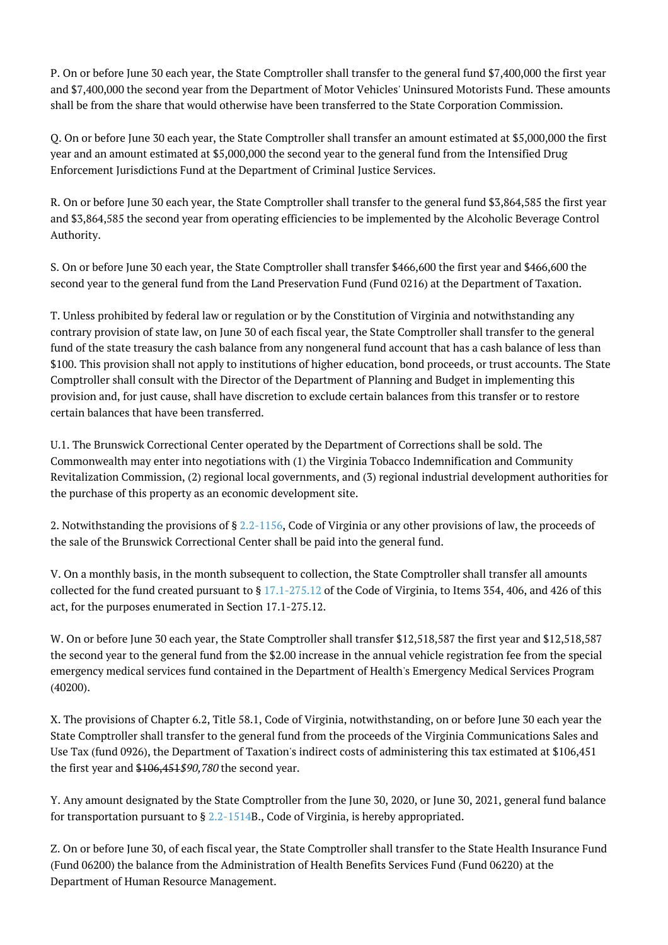P. On or before June 30 each year, the State Comptroller shall transfer to the general fund \$7,400,000 the first year and \$7,400,000 the second year from the Department of Motor Vehicles' Uninsured Motorists Fund. These amounts shall be from the share that would otherwise have been transferred to the State Corporation Commission.

Q. On or before June 30 each year, the State Comptroller shall transfer an amount estimated at \$5,000,000 the first year and an amount estimated at \$5,000,000 the second year to the general fund from the Intensified Drug Enforcement Jurisdictions Fund at the Department of Criminal Justice Services.

R. On or before June 30 each year, the State Comptroller shall transfer to the general fund \$3,864,585 the first year and \$3,864,585 the second year from operating efficiencies to be implemented by the Alcoholic Beverage Control Authority.

S. On or before June 30 each year, the State Comptroller shall transfer \$466,600 the first year and \$466,600 the second year to the general fund from the Land Preservation Fund (Fund 0216) at the Department of Taxation.

T. Unless prohibited by federal law or regulation or by the Constitution of Virginia and notwithstanding any contrary provision of state law, on June 30 of each fiscal year, the State Comptroller shall transfer to the general fund of the state treasury the cash balance from any nongeneral fund account that has a cash balance of less than \$100. This provision shall not apply to institutions of higher education, bond proceeds, or trust accounts. The State Comptroller shall consult with the Director of the Department of Planning and Budget in implementing this provision and, for just cause, shall have discretion to exclude certain balances from this transfer or to restore certain balances that have been transferred.

U.1. The Brunswick Correctional Center operated by the Department of Corrections shall be sold. The Commonwealth may enter into negotiations with (1) the Virginia Tobacco Indemnification and Community Revitalization Commission, (2) regional local governments, and (3) regional industrial development authorities for the purchase of this property as an economic development site.

2. Notwithstanding the provisions of § [2.2-1156,](http://law.lis.virginia.gov/vacode/2.2-1156/) Code of Virginia or any other provisions of law, the proceeds of the sale of the Brunswick Correctional Center shall be paid into the general fund.

V. On a monthly basis, in the month subsequent to collection, the State Comptroller shall transfer all amounts collected for the fund created pursuant to  $\S 17.1-275.12$  $\S 17.1-275.12$  of the Code of Virginia, to Items 354, 406, and 426 of this act, for the purposes enumerated in Section 17.1-275.12.

W. On or before June 30 each year, the State Comptroller shall transfer \$12,518,587 the first year and \$12,518,587 the second year to the general fund from the \$2.00 increase in the annual vehicle registration fee from the special emergency medical services fund contained in the Department of Health's Emergency Medical Services Program (40200).

X. The provisions of Chapter 6.2, Title 58.1, Code of Virginia, notwithstanding, on or before June 30 each year the State Comptroller shall transfer to the general fund from the proceeds of the Virginia Communications Sales and Use Tax (fund 0926), the Department of Taxation's indirect costs of administering this tax estimated at \$106,451 the first year and \$106,451 \$90,780 the second year.

Y. Any amount designated by the State Comptroller from the June 30, 2020, or June 30, 2021, general fund balance for transportation pursuant to  $\S$  [2.2-1514B](http://law.lis.virginia.gov/vacode/2.2-1514/)., Code of Virginia, is hereby appropriated.

Z. On or before June 30, of each fiscal year, the State Comptroller shall transfer to the State Health Insurance Fund (Fund 06200) the balance from the Administration of Health Benefits Services Fund (Fund 06220) at the Department of Human Resource Management.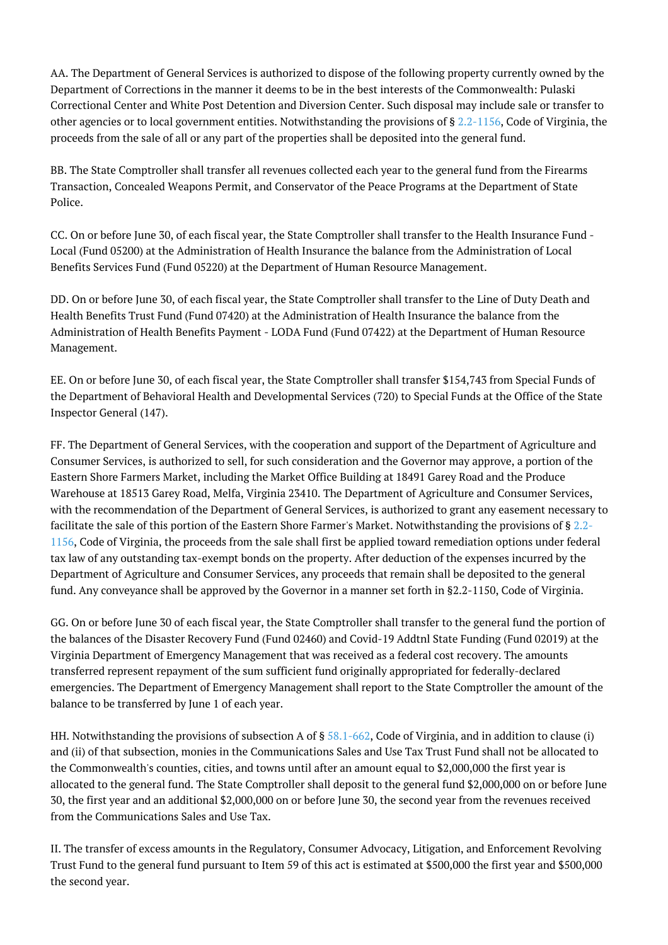AA. The Department of General Services is authorized to dispose of the following property currently owned by the Department of Corrections in the manner it deems to be in the best interests of the Commonwealth: Pulaski Correctional Center and White Post Detention and Diversion Center. Such disposal may include sale or transfer to other agencies or to local government entities. Notwithstanding the provisions of § [2.2-1156,](http://law.lis.virginia.gov/vacode/2.2-1156/) Code of Virginia, the proceeds from the sale of all or any part of the properties shall be deposited into the general fund.

BB. The State Comptroller shall transfer all revenues collected each year to the general fund from the Firearms Transaction, Concealed Weapons Permit, and Conservator of the Peace Programs at the Department of State Police.

CC. On or before June 30, of each fiscal year, the State Comptroller shall transfer to the Health Insurance Fund - Local (Fund 05200) at the Administration of Health Insurance the balance from the Administration of Local Benefits Services Fund (Fund 05220) at the Department of Human Resource Management.

DD. On or before June 30, of each fiscal year, the State Comptroller shall transfer to the Line of Duty Death and Health Benefits Trust Fund (Fund 07420) at the Administration of Health Insurance the balance from the Administration of Health Benefits Payment - LODA Fund (Fund 07422) at the Department of Human Resource Management.

EE. On or before June 30, of each fiscal year, the State Comptroller shall transfer \$154,743 from Special Funds of the Department of Behavioral Health and Developmental Services (720) to Special Funds at the Office of the State Inspector General (147).

FF. The Department of General Services, with the cooperation and support of the Department of Agriculture and Consumer Services, is authorized to sell, for such consideration and the Governor may approve, a portion of the Eastern Shore Farmers Market, including the Market Office Building at 18491 Garey Road and the Produce Warehouse at 18513 Garey Road, Melfa, Virginia 23410. The Department of Agriculture and Consumer Services, with the recommendation of the Department of General Services, is authorized to grant any easement necessary to facilitate the sale of this portion of the Eastern Shore Farmer's Market. Notwithstanding the provisions of § [2.2-](http://law.lis.virginia.gov/vacode/2.2-1156/) [1156,](http://law.lis.virginia.gov/vacode/2.2-1156/) Code of Virginia, the proceeds from the sale shall first be applied toward remediation options under federal tax law of any outstanding tax-exempt bonds on the property. After deduction of the expenses incurred by the Department of Agriculture and Consumer Services, any proceeds that remain shall be deposited to the general fund. Any conveyance shall be approved by the Governor in a manner set forth in §2.2-1150, Code of Virginia.

GG. On or before June 30 of each fiscal year, the State Comptroller shall transfer to the general fund the portion of the balances of the Disaster Recovery Fund (Fund 02460) and Covid-19 Addtnl State Funding (Fund 02019) at the Virginia Department of Emergency Management that was received as a federal cost recovery. The amounts transferred represent repayment of the sum sufficient fund originally appropriated for federally-declared emergencies. The Department of Emergency Management shall report to the State Comptroller the amount of the balance to be transferred by June 1 of each year.

HH. Notwithstanding the provisions of subsection A of § [58.1-662,](http://law.lis.virginia.gov/vacode/58.1-662/) Code of Virginia, and in addition to clause (i) and (ii) of that subsection, monies in the Communications Sales and Use Tax Trust Fund shall not be allocated to the Commonwealth's counties, cities, and towns until after an amount equal to \$2,000,000 the first year is allocated to the general fund. The State Comptroller shall deposit to the general fund \$2,000,000 on or before June 30, the first year and an additional \$2,000,000 on or before June 30, the second year from the revenues received from the Communications Sales and Use Tax.

II. The transfer of excess amounts in the Regulatory, Consumer Advocacy, Litigation, and Enforcement Revolving Trust Fund to the general fund pursuant to Item 59 of this act is estimated at \$500,000 the first year and \$500,000 the second year.